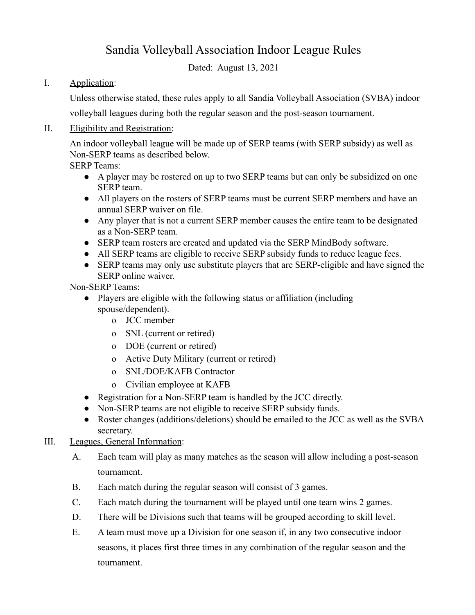# Sandia Volleyball Association Indoor League Rules

Dated: August 13, 2021

### I. Application:

Unless otherwise stated, these rules apply to all Sandia Volleyball Association (SVBA) indoor

volleyball leagues during both the regular season and the post-season tournament.

### II. Eligibility and Registration:

An indoor volleyball league will be made up of SERP teams (with SERP subsidy) as well as Non-SERP teams as described below.

SERP Teams:

- A player may be rostered on up to two SERP teams but can only be subsidized on one SERP team.
- All players on the rosters of SERP teams must be current SERP members and have an annual SERP waiver on file.
- Any player that is not a current SERP member causes the entire team to be designated as a Non-SERP team.
- SERP team rosters are created and updated via the SERP MindBody software.
- All SERP teams are eligible to receive SERP subsidy funds to reduce league fees.
- SERP teams may only use substitute players that are SERP-eligible and have signed the SERP online waiver.

Non-SERP Teams:

- Players are eligible with the following status or affiliation (including spouse/dependent).
	- o JCC member
	- o SNL (current or retired)
	- o DOE (current or retired)
	- o Active Duty Military (current or retired)
	- o SNL/DOE/KAFB Contractor
	- o Civilian employee at KAFB
- Registration for a Non-SERP team is handled by the JCC directly.
- Non-SERP teams are not eligible to receive SERP subsidy funds.
- Roster changes (additions/deletions) should be emailed to the JCC as well as the SVBA secretary.

#### III. Leagues, General Information:

- A. Each team will play as many matches as the season will allow including a post-season tournament.
- B. Each match during the regular season will consist of 3 games.
- C. Each match during the tournament will be played until one team wins 2 games.
- D. There will be Divisions such that teams will be grouped according to skill level.
- E. A team must move up a Division for one season if, in any two consecutive indoor seasons, it places first three times in any combination of the regular season and the tournament.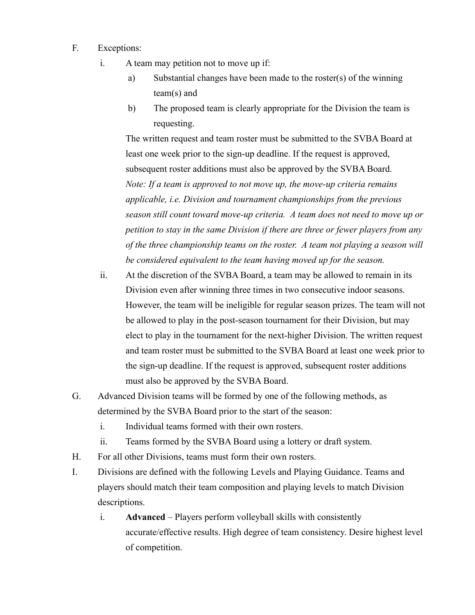- F. Exceptions:
	- i. A team may petition not to move up if:
		- a) Substantial changes have been made to the roster(s) of the winning team(s) and
		- b) The proposed team is clearly appropriate for the Division the team is requesting.

The written request and team roster must be submitted to the SVBA Board at least one week prior to the sign-up deadline. If the request is approved, subsequent roster additions must also be approved by the SVBA Board. *Note: If a team is approved to not move up, the move-up criteria remains applicable, i.e. Division and tournament championships from the previous season still count toward move-up criteria. A team does not need to move up or petition to stay in the same Division if there are three or fewer players from any of the three championship teams on the roster. A team not playing a season will be considered equivalent to the team having moved up for the season.*

- ii. At the discretion of the SVBA Board, a team may be allowed to remain in its Division even after winning three times in two consecutive indoor seasons. However, the team will be ineligible for regular season prizes. The team will not be allowed to play in the post-season tournament for their Division, but may elect to play in the tournament for the next-higher Division. The written request and team roster must be submitted to the SVBA Board at least one week prior to the sign-up deadline. If the request is approved, subsequent roster additions must also be approved by the SVBA Board.
- G. Advanced Division teams will be formed by one of the following methods, as determined by the SVBA Board prior to the start of the season:
	- i. Individual teams formed with their own rosters.
	- ii. Teams formed by the SVBA Board using a lottery or draft system.
- H. For all other Divisions, teams must form their own rosters.
- I. Divisions are defined with the following Levels and Playing Guidance. Teams and players should match their team composition and playing levels to match Division descriptions.
	- i. **Advanced** Players perform volleyball skills with consistently accurate/effective results. High degree of team consistency. Desire highest level of competition.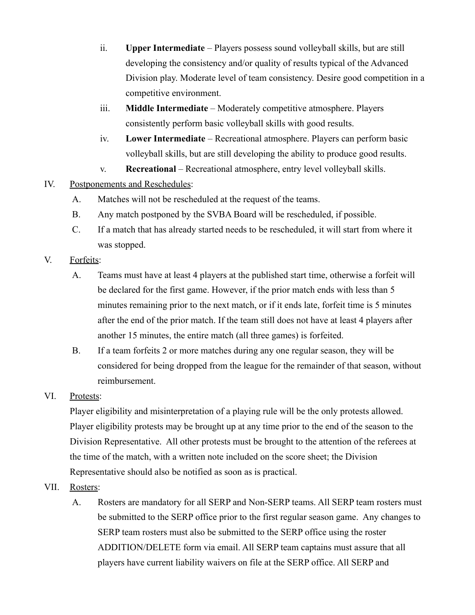- ii. **Upper Intermediate** Players possess sound volleyball skills, but are still developing the consistency and/or quality of results typical of the Advanced Division play. Moderate level of team consistency. Desire good competition in a competitive environment.
- iii. **Middle Intermediate** Moderately competitive atmosphere. Players consistently perform basic volleyball skills with good results.
- iv. **Lower Intermediate** Recreational atmosphere. Players can perform basic volleyball skills, but are still developing the ability to produce good results.
- v. **Recreational** Recreational atmosphere, entry level volleyball skills.
- IV. Postponements and Reschedules:
	- A. Matches will not be rescheduled at the request of the teams.
	- B. Any match postponed by the SVBA Board will be rescheduled, if possible.
	- C. If a match that has already started needs to be rescheduled, it will start from where it was stopped.
- V. Forfeits:
	- A. Teams must have at least 4 players at the published start time, otherwise a forfeit will be declared for the first game. However, if the prior match ends with less than 5 minutes remaining prior to the next match, or if it ends late, forfeit time is 5 minutes after the end of the prior match. If the team still does not have at least 4 players after another 15 minutes, the entire match (all three games) is forfeited.
	- B. If a team forfeits 2 or more matches during any one regular season, they will be considered for being dropped from the league for the remainder of that season, without reimbursement.
- VI. Protests:

Player eligibility and misinterpretation of a playing rule will be the only protests allowed. Player eligibility protests may be brought up at any time prior to the end of the season to the Division Representative. All other protests must be brought to the attention of the referees at the time of the match, with a written note included on the score sheet; the Division Representative should also be notified as soon as is practical.

- VII. Rosters:
	- A. Rosters are mandatory for all SERP and Non-SERP teams. All SERP team rosters must be submitted to the SERP office prior to the first regular season game. Any changes to SERP team rosters must also be submitted to the SERP office using the roster ADDITION/DELETE form via email. All SERP team captains must assure that all players have current liability waivers on file at the SERP office. All SERP and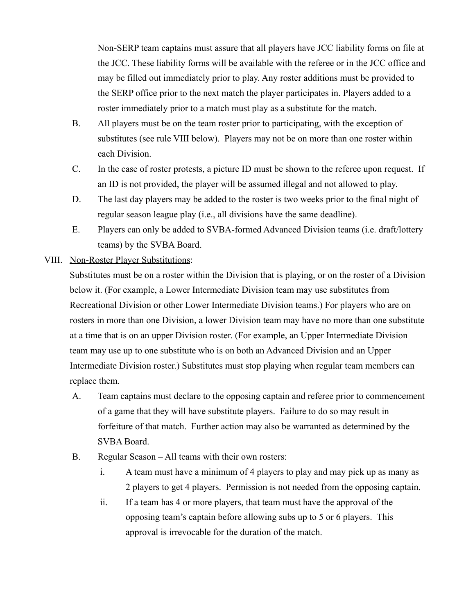Non-SERP team captains must assure that all players have JCC liability forms on file at the JCC. These liability forms will be available with the referee or in the JCC office and may be filled out immediately prior to play. Any roster additions must be provided to the SERP office prior to the next match the player participates in. Players added to a roster immediately prior to a match must play as a substitute for the match.

- B. All players must be on the team roster prior to participating, with the exception of substitutes (see rule VIII below). Players may not be on more than one roster within each Division.
- C. In the case of roster protests, a picture ID must be shown to the referee upon request. If an ID is not provided, the player will be assumed illegal and not allowed to play.
- D. The last day players may be added to the roster is two weeks prior to the final night of regular season league play (i.e., all divisions have the same deadline).
- E. Players can only be added to SVBA-formed Advanced Division teams (i.e. draft/lottery teams) by the SVBA Board.

#### VIII. Non-Roster Player Substitutions:

Substitutes must be on a roster within the Division that is playing, or on the roster of a Division below it. (For example, a Lower Intermediate Division team may use substitutes from Recreational Division or other Lower Intermediate Division teams.) For players who are on rosters in more than one Division, a lower Division team may have no more than one substitute at a time that is on an upper Division roster. (For example, an Upper Intermediate Division team may use up to one substitute who is on both an Advanced Division and an Upper Intermediate Division roster.) Substitutes must stop playing when regular team members can replace them.

- A. Team captains must declare to the opposing captain and referee prior to commencement of a game that they will have substitute players. Failure to do so may result in forfeiture of that match. Further action may also be warranted as determined by the SVBA Board.
- B. Regular Season All teams with their own rosters:
	- i. A team must have a minimum of 4 players to play and may pick up as many as 2 players to get 4 players. Permission is not needed from the opposing captain.
	- ii. If a team has 4 or more players, that team must have the approval of the opposing team's captain before allowing subs up to 5 or 6 players. This approval is irrevocable for the duration of the match.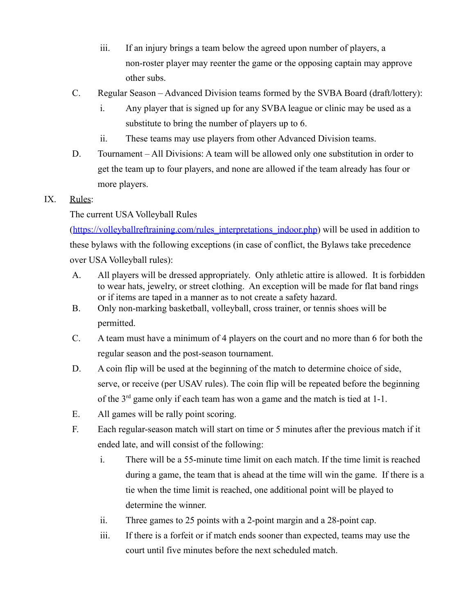- iii. If an injury brings a team below the agreed upon number of players, a non-roster player may reenter the game or the opposing captain may approve other subs.
- C. Regular Season Advanced Division teams formed by the SVBA Board (draft/lottery):
	- i. Any player that is signed up for any SVBA league or clinic may be used as a substitute to bring the number of players up to 6.
	- ii. These teams may use players from other Advanced Division teams.
- D. Tournament All Divisions: A team will be allowed only one substitution in order to get the team up to four players, and none are allowed if the team already has four or more players.

## IX. Rules:

## The current USA Volleyball Rules

([https://volleyballreftraining.com/rules\\_interpretations\\_indoor.php](https://volleyballreftraining.com/rules_interpretations_indoor.php)) will be used in addition to these bylaws with the following exceptions (in case of conflict, the Bylaws take precedence over USA Volleyball rules):

- A. All players will be dressed appropriately. Only athletic attire is allowed. It is forbidden to wear hats, jewelry, or street clothing. An exception will be made for flat band rings or if items are taped in a manner as to not create a safety hazard.
- B. Only non-marking basketball, volleyball, cross trainer, or tennis shoes will be permitted.
- C. A team must have a minimum of 4 players on the court and no more than 6 for both the regular season and the post-season tournament.
- D. A coin flip will be used at the beginning of the match to determine choice of side, serve, or receive (per USAV rules). The coin flip will be repeated before the beginning of the  $3<sup>rd</sup>$  game only if each team has won a game and the match is tied at 1-1.
- E. All games will be rally point scoring.
- F. Each regular-season match will start on time or 5 minutes after the previous match if it ended late, and will consist of the following:
	- i. There will be a 55-minute time limit on each match. If the time limit is reached during a game, the team that is ahead at the time will win the game. If there is a tie when the time limit is reached, one additional point will be played to determine the winner.
	- ii. Three games to 25 points with a 2-point margin and a 28-point cap.
	- iii. If there is a forfeit or if match ends sooner than expected, teams may use the court until five minutes before the next scheduled match.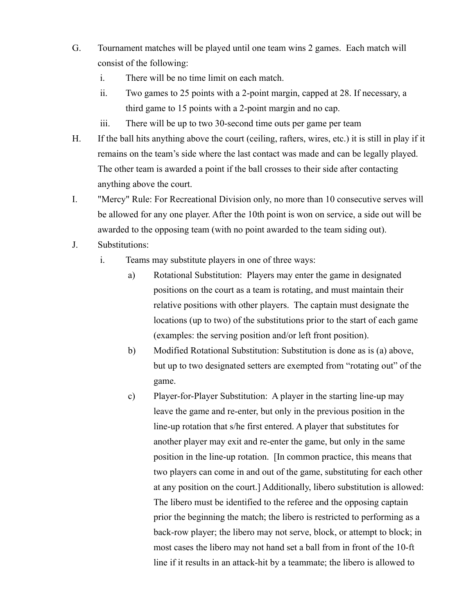- G. Tournament matches will be played until one team wins 2 games. Each match will consist of the following:
	- i. There will be no time limit on each match.
	- ii. Two games to 25 points with a 2-point margin, capped at 28. If necessary, a third game to 15 points with a 2-point margin and no cap.
	- iii. There will be up to two 30-second time outs per game per team
- H. If the ball hits anything above the court (ceiling, rafters, wires, etc.) it is still in play if it remains on the team's side where the last contact was made and can be legally played. The other team is awarded a point if the ball crosses to their side after contacting anything above the court.
- I. "Mercy" Rule: For Recreational Division only, no more than 10 consecutive serves will be allowed for any one player. After the 10th point is won on service, a side out will be awarded to the opposing team (with no point awarded to the team siding out).
- J. Substitutions:
	- i. Teams may substitute players in one of three ways:
		- a) Rotational Substitution: Players may enter the game in designated positions on the court as a team is rotating, and must maintain their relative positions with other players. The captain must designate the locations (up to two) of the substitutions prior to the start of each game (examples: the serving position and/or left front position).
		- b) Modified Rotational Substitution: Substitution is done as is (a) above, but up to two designated setters are exempted from "rotating out" of the game.
		- c) Player-for-Player Substitution: A player in the starting line-up may leave the game and re-enter, but only in the previous position in the line-up rotation that s/he first entered. A player that substitutes for another player may exit and re-enter the game, but only in the same position in the line-up rotation. [In common practice, this means that two players can come in and out of the game, substituting for each other at any position on the court.] Additionally, libero substitution is allowed: The libero must be identified to the referee and the opposing captain prior the beginning the match; the libero is restricted to performing as a back-row player; the libero may not serve, block, or attempt to block; in most cases the libero may not hand set a ball from in front of the 10-ft line if it results in an attack-hit by a teammate; the libero is allowed to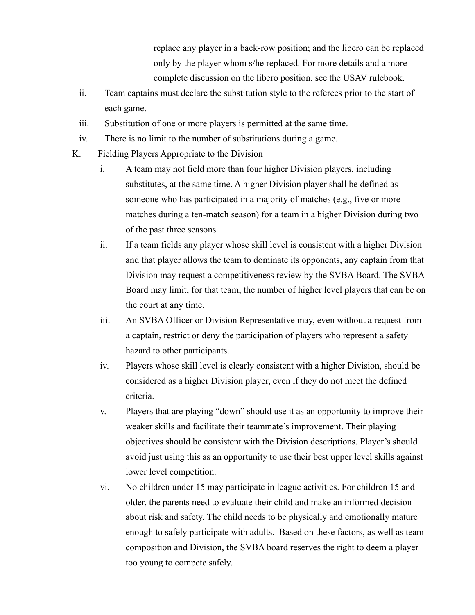replace any player in a back-row position; and the libero can be replaced only by the player whom s/he replaced. For more details and a more complete discussion on the libero position, see the USAV rulebook.

- ii. Team captains must declare the substitution style to the referees prior to the start of each game.
- iii. Substitution of one or more players is permitted at the same time.
- iv. There is no limit to the number of substitutions during a game.
- K. Fielding Players Appropriate to the Division
	- i. A team may not field more than four higher Division players, including substitutes, at the same time. A higher Division player shall be defined as someone who has participated in a majority of matches (e.g., five or more matches during a ten-match season) for a team in a higher Division during two of the past three seasons.
	- ii. If a team fields any player whose skill level is consistent with a higher Division and that player allows the team to dominate its opponents, any captain from that Division may request a competitiveness review by the SVBA Board. The SVBA Board may limit, for that team, the number of higher level players that can be on the court at any time.
	- iii. An SVBA Officer or Division Representative may, even without a request from a captain, restrict or deny the participation of players who represent a safety hazard to other participants.
	- iv. Players whose skill level is clearly consistent with a higher Division, should be considered as a higher Division player, even if they do not meet the defined criteria.
	- v. Players that are playing "down" should use it as an opportunity to improve their weaker skills and facilitate their teammate's improvement. Their playing objectives should be consistent with the Division descriptions. Player's should avoid just using this as an opportunity to use their best upper level skills against lower level competition.
	- vi. No children under 15 may participate in league activities. For children 15 and older, the parents need to evaluate their child and make an informed decision about risk and safety. The child needs to be physically and emotionally mature enough to safely participate with adults. Based on these factors, as well as team composition and Division, the SVBA board reserves the right to deem a player too young to compete safely.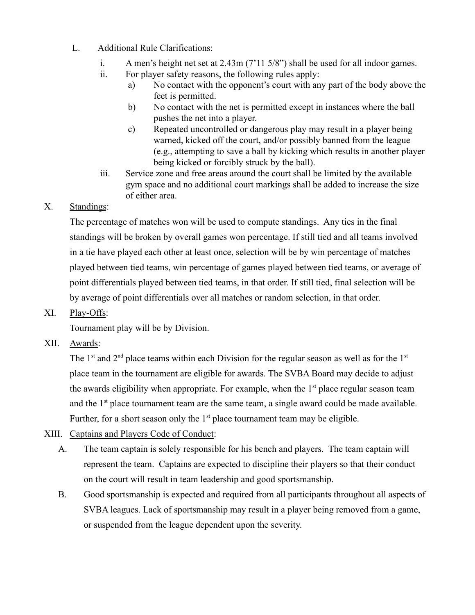- L. Additional Rule Clarifications:
	- i. A men's height net set at 2.43m (7'11 5/8") shall be used for all indoor games.
	- ii. For player safety reasons, the following rules apply:
		- a) No contact with the opponent's court with any part of the body above the feet is permitted.
		- b) No contact with the net is permitted except in instances where the ball pushes the net into a player.
		- c) Repeated uncontrolled or dangerous play may result in a player being warned, kicked off the court, and/or possibly banned from the league (e.g., attempting to save a ball by kicking which results in another player being kicked or forcibly struck by the ball).
	- iii. Service zone and free areas around the court shall be limited by the available gym space and no additional court markings shall be added to increase the size of either area.

# X. Standings:

The percentage of matches won will be used to compute standings. Any ties in the final standings will be broken by overall games won percentage. If still tied and all teams involved in a tie have played each other at least once, selection will be by win percentage of matches played between tied teams, win percentage of games played between tied teams, or average of point differentials played between tied teams, in that order. If still tied, final selection will be by average of point differentials over all matches or random selection, in that order.

# XI. Play-Offs:

Tournament play will be by Division.

XII. Awards:

The 1<sup>st</sup> and  $2<sup>nd</sup>$  place teams within each Division for the regular season as well as for the 1<sup>st</sup> place team in the tournament are eligible for awards. The SVBA Board may decide to adjust the awards eligibility when appropriate. For example, when the  $1<sup>st</sup>$  place regular season team and the  $1<sup>st</sup>$  place tournament team are the same team, a single award could be made available. Further, for a short season only the  $1<sup>st</sup>$  place tournament team may be eligible.

- XIII. Captains and Players Code of Conduct:
	- A. The team captain is solely responsible for his bench and players. The team captain will represent the team. Captains are expected to discipline their players so that their conduct on the court will result in team leadership and good sportsmanship.
	- B. Good sportsmanship is expected and required from all participants throughout all aspects of SVBA leagues. Lack of sportsmanship may result in a player being removed from a game, or suspended from the league dependent upon the severity.